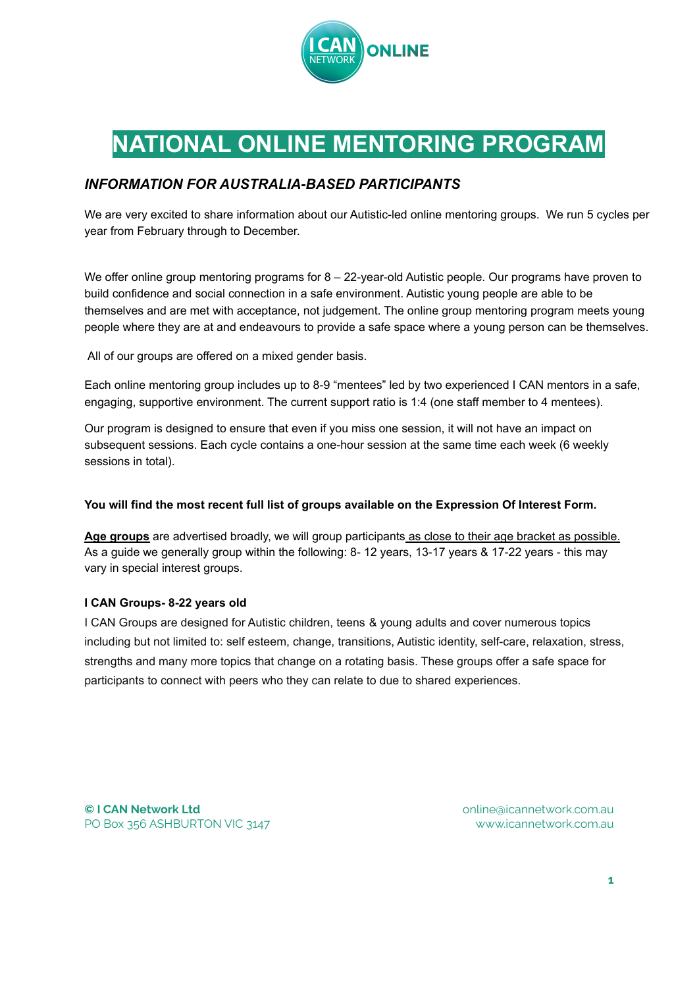

## **NATIONAL ONLINE MENTORING PROGRAM**

## *INFORMATION FOR AUSTRALIA-BASED PARTICIPANTS*

We are very excited to share information about our Autistic-led online mentoring groups. We run 5 cycles per year from February through to December.

We offer online group mentoring programs for  $8 - 22$ -year-old Autistic people. Our programs have proven to build confidence and social connection in a safe environment. Autistic young people are able to be themselves and are met with acceptance, not judgement. The online group mentoring program meets young people where they are at and endeavours to provide a safe space where a young person can be themselves.

All of our groups are offered on a mixed gender basis.

Each online mentoring group includes up to 8-9 "mentees" led by two experienced I CAN mentors in a safe, engaging, supportive environment. The current support ratio is 1:4 (one staff member to 4 mentees).

Our program is designed to ensure that even if you miss one session, it will not have an impact on subsequent sessions. Each cycle contains a one-hour session at the same time each week (6 weekly sessions in total).

## **You will find the most recent full list of groups available on the Expression Of Interest Form.**

**Age groups** are advertised broadly, we will group participants as close to their age bracket as possible. As a guide we generally group within the following: 8-12 years, 13-17 years & 17-22 years - this may vary in special interest groups.

## **I CAN Groups- 8-22 years old**

I CAN Groups are designed for Autistic children, teens & young adults and cover numerous topics including but not limited to: self esteem, change, transitions, Autistic identity, self-care, relaxation, stress, strengths and many more topics that change on a rotating basis. These groups offer a safe space for participants to connect with peers who they can relate to due to shared experiences.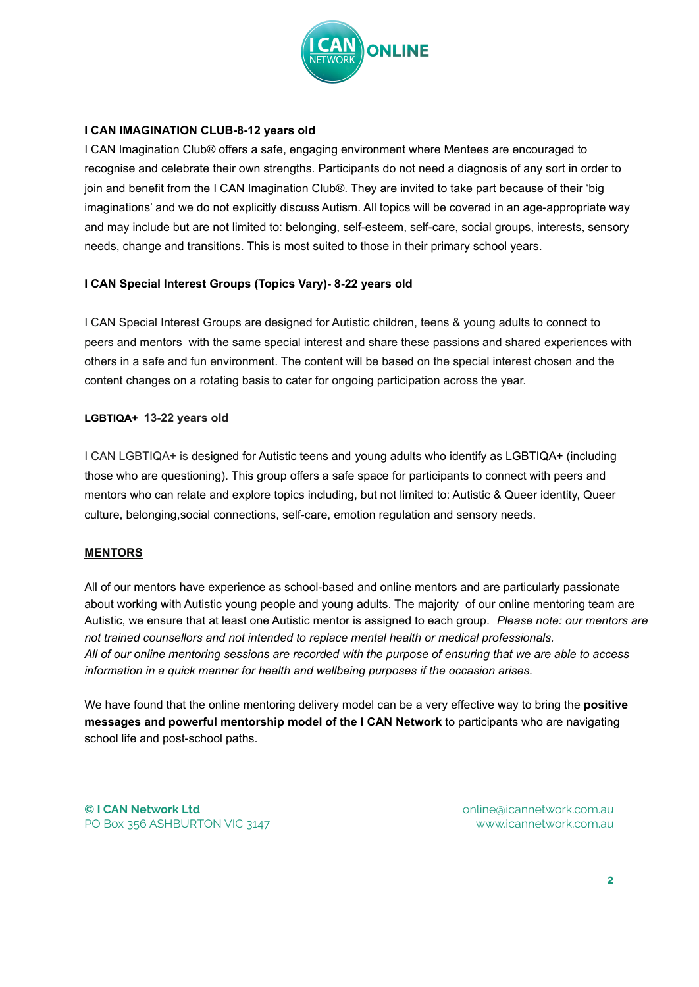

## **I CAN IMAGINATION CLUB-8-12 years old**

I CAN Imagination Club® offers a safe, engaging environment where Mentees are encouraged to recognise and celebrate their own strengths. Participants do not need a diagnosis of any sort in order to join and benefit from the I CAN Imagination Club®. They are invited to take part because of their 'big imaginations' and we do not explicitly discuss Autism. All topics will be covered in an age-appropriate way and may include but are not limited to: belonging, self-esteem, self-care, social groups, interests, sensory needs, change and transitions. This is most suited to those in their primary school years.

## **I CAN Special Interest Groups (Topics Vary)- 8-22 years old**

I CAN Special Interest Groups are designed for Autistic children, teens & young adults to connect to peers and mentors with the same special interest and share these passions and shared experiences with others in a safe and fun environment. The content will be based on the special interest chosen and the content changes on a rotating basis to cater for ongoing participation across the year.

## **LGBTIQA+ 13-22 years old**

I CAN LGBTIQA+ is designed for Autistic teens and young adults who identify as LGBTIQA+ (including those who are questioning). This group offers a safe space for participants to connect with peers and mentors who can relate and explore topics including, but not limited to: Autistic & Queer identity, Queer culture, belonging,social connections, self-care, emotion regulation and sensory needs.

## **MENTORS**

All of our mentors have experience as school-based and online mentors and are particularly passionate about working with Autistic young people and young adults. The majority of our online mentoring team are Autistic, we ensure that at least one Autistic mentor is assigned to each group. *Please note: our mentors are not trained counsellors and not intended to replace mental health or medical professionals.* All of our online mentoring sessions are recorded with the purpose of ensuring that we are able to access *information in a quick manner for health and wellbeing purposes if the occasion arises.*

We have found that the online mentoring delivery model can be a very effective way to bring the **positive messages and powerful mentorship model of the I CAN Network** to participants who are navigating school life and post-school paths.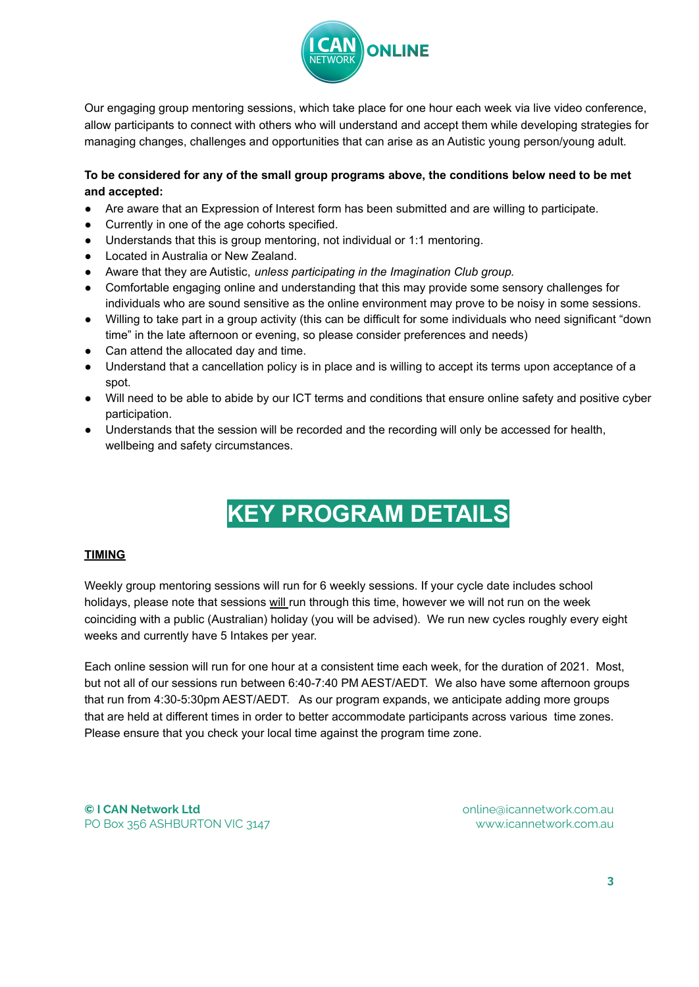

Our engaging group mentoring sessions, which take place for one hour each week via live video conference, allow participants to connect with others who will understand and accept them while developing strategies for managing changes, challenges and opportunities that can arise as an Autistic young person/young adult.

## **To be considered for any of the small group programs above, the conditions below need to be met and accepted:**

- Are aware that an Expression of Interest form has been submitted and are willing to participate.
- Currently in one of the age cohorts specified.
- Understands that this is group mentoring, not individual or 1:1 mentoring.
- Located in Australia or New Zealand.
- Aware that they are Autistic, *unless participating in the Imagination Club group.*
- Comfortable engaging online and understanding that this may provide some sensory challenges for individuals who are sound sensitive as the online environment may prove to be noisy in some sessions.
- Willing to take part in a group activity (this can be difficult for some individuals who need significant "down time" in the late afternoon or evening, so please consider preferences and needs)
- Can attend the allocated day and time.
- Understand that a cancellation policy is in place and is willing to accept its terms upon acceptance of a spot.
- Will need to be able to abide by our ICT terms and conditions that ensure online safety and positive cyber participation.
- Understands that the session will be recorded and the recording will only be accessed for health, wellbeing and safety circumstances.

# **KEY PROGRAM DETAILS**

## **TIMING**

Weekly group mentoring sessions will run for 6 weekly sessions. If your cycle date includes school holidays, please note that sessions will run through this time, however we will not run on the week coinciding with a public (Australian) holiday (you will be advised). We run new cycles roughly every eight weeks and currently have 5 Intakes per year.

Each online session will run for one hour at a consistent time each week, for the duration of 2021. Most, but not all of our sessions run between 6:40-7:40 PM AEST/AEDT. We also have some afternoon groups that run from 4:30-5:30pm AEST/AEDT. As our program expands, we anticipate adding more groups that are held at different times in order to better accommodate participants across various time zones. Please ensure that you check your local time against the program time zone.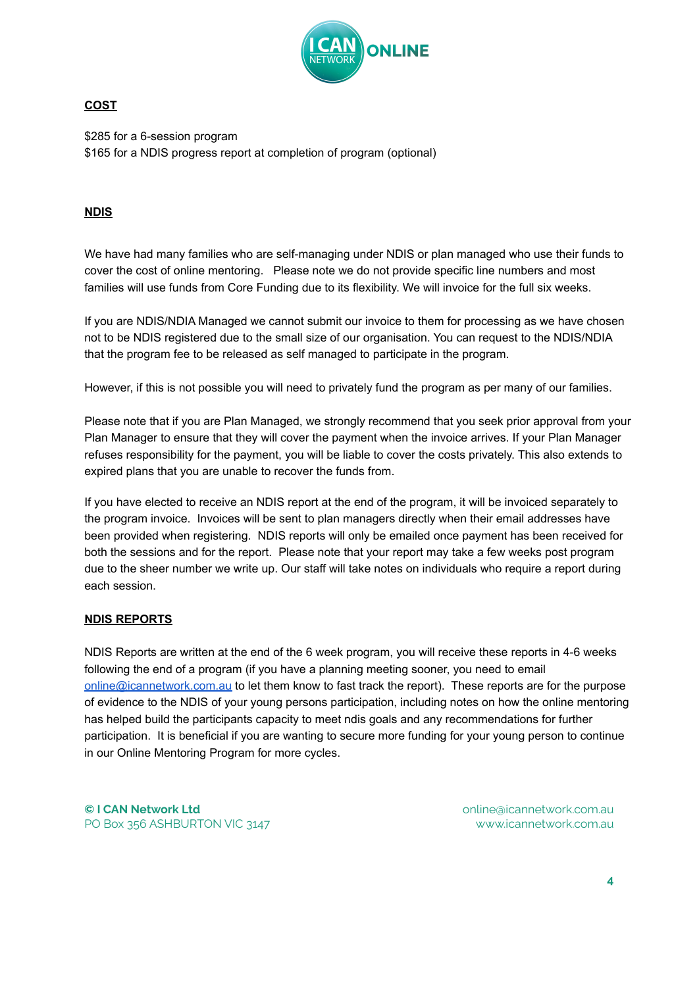

## **COST**

\$285 for a 6-session program \$165 for a NDIS progress report at completion of program (optional)

## **NDIS**

We have had many families who are self-managing under NDIS or plan managed who use their funds to cover the cost of online mentoring. Please note we do not provide specific line numbers and most families will use funds from Core Funding due to its flexibility. We will invoice for the full six weeks.

If you are NDIS/NDIA Managed we cannot submit our invoice to them for processing as we have chosen not to be NDIS registered due to the small size of our organisation. You can request to the NDIS/NDIA that the program fee to be released as self managed to participate in the program.

However, if this is not possible you will need to privately fund the program as per many of our families.

Please note that if you are Plan Managed, we strongly recommend that you seek prior approval from your Plan Manager to ensure that they will cover the payment when the invoice arrives. If your Plan Manager refuses responsibility for the payment, you will be liable to cover the costs privately. This also extends to expired plans that you are unable to recover the funds from.

If you have elected to receive an NDIS report at the end of the program, it will be invoiced separately to the program invoice. Invoices will be sent to plan managers directly when their email addresses have been provided when registering. NDIS reports will only be emailed once payment has been received for both the sessions and for the report. Please note that your report may take a few weeks post program due to the sheer number we write up. Our staff will take notes on individuals who require a report during each session.

## **NDIS REPORTS**

NDIS Reports are written at the end of the 6 week program, you will receive these reports in 4-6 weeks following the end of a program (if you have a planning meeting sooner, you need to email online@icannetwork.com.au to let them know to fast track the report). These reports are for the purpose of evidence to the NDIS of your young persons participation, including notes on how the online mentoring has helped build the participants capacity to meet ndis goals and any recommendations for further participation. It is beneficial if you are wanting to secure more funding for your young person to continue in our Online Mentoring Program for more cycles.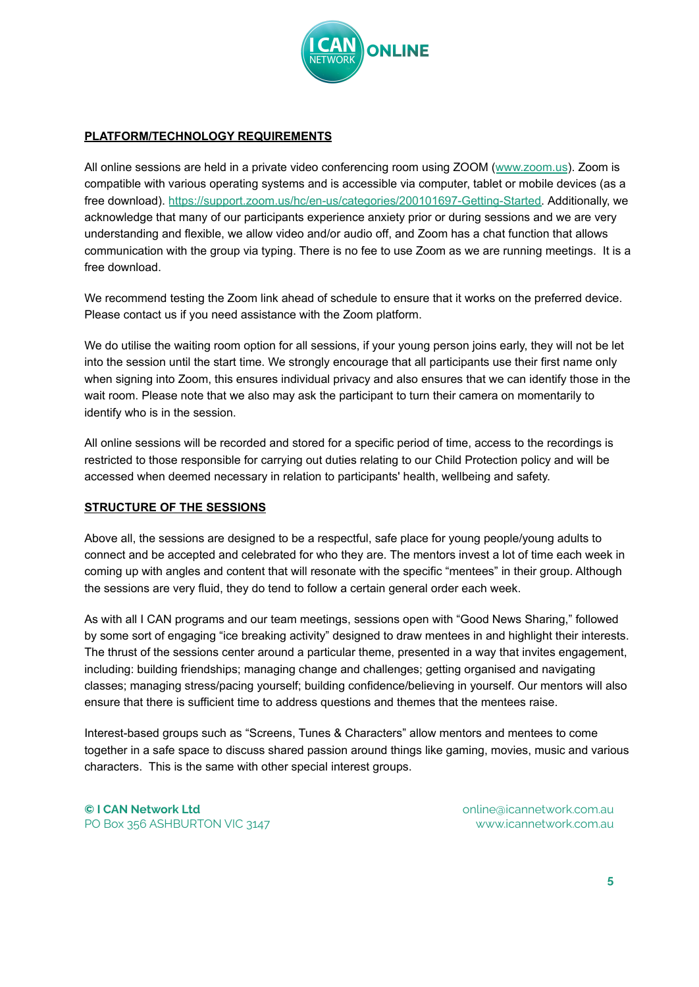

## **PLATFORM/TECHNOLOGY REQUIREMENTS**

All online sessions are held in a private video conferencing room using ZOOM ([www.zoom.us](http://www.zoom.us/)). Zoom is compatible with various operating systems and is accessible via computer, tablet or mobile devices (as a free download). [https://support.zoom.us/hc/en-us/categories/200101697-Getting-Started.](https://support.zoom.us/hc/en-us/categories/200101697-Getting-Started) Additionally, we acknowledge that many of our participants experience anxiety prior or during sessions and we are very understanding and flexible, we allow video and/or audio off, and Zoom has a chat function that allows communication with the group via typing. There is no fee to use Zoom as we are running meetings. It is a free download.

We recommend testing the Zoom link ahead of schedule to ensure that it works on the preferred device. Please contact us if you need assistance with the Zoom platform.

We do utilise the waiting room option for all sessions, if your young person joins early, they will not be let into the session until the start time. We strongly encourage that all participants use their first name only when signing into Zoom, this ensures individual privacy and also ensures that we can identify those in the wait room. Please note that we also may ask the participant to turn their camera on momentarily to identify who is in the session.

All online sessions will be recorded and stored for a specific period of time, access to the recordings is restricted to those responsible for carrying out duties relating to our Child Protection policy and will be accessed when deemed necessary in relation to participants' health, wellbeing and safety.

## **STRUCTURE OF THE SESSIONS**

Above all, the sessions are designed to be a respectful, safe place for young people/young adults to connect and be accepted and celebrated for who they are. The mentors invest a lot of time each week in coming up with angles and content that will resonate with the specific "mentees" in their group. Although the sessions are very fluid, they do tend to follow a certain general order each week.

As with all I CAN programs and our team meetings, sessions open with "Good News Sharing," followed by some sort of engaging "ice breaking activity" designed to draw mentees in and highlight their interests. The thrust of the sessions center around a particular theme, presented in a way that invites engagement, including: building friendships; managing change and challenges; getting organised and navigating classes; managing stress/pacing yourself; building confidence/believing in yourself. Our mentors will also ensure that there is sufficient time to address questions and themes that the mentees raise.

Interest-based groups such as "Screens, Tunes & Characters" allow mentors and mentees to come together in a safe space to discuss shared passion around things like gaming, movies, music and various characters. This is the same with other special interest groups.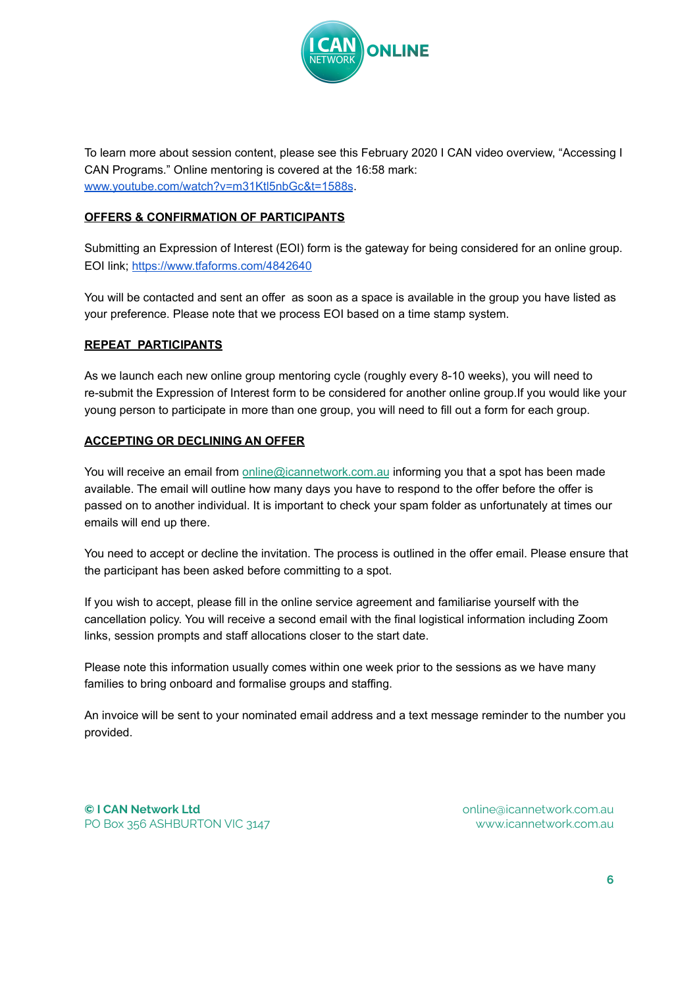

To learn more about session content, please see this February 2020 I CAN video overview, "Accessing I CAN Programs." Online mentoring is covered at the 16:58 mark: [www.youtube.com/watch?v=m31Ktl5nbGc&t=1588s](http://www.youtube.com/watch?v=m31Ktl5nbGc&t=1588s).

## **OFFERS & CONFIRMATION OF PARTICIPANTS**

Submitting an Expression of Interest (EOI) form is the gateway for being considered for an online group. EOI link; <https://www.tfaforms.com/4842640>

You will be contacted and sent an offer as soon as a space is available in the group you have listed as your preference. Please note that we process EOI based on a time stamp system.

## **REPEAT PARTICIPANTS**

As we launch each new online group mentoring cycle (roughly every 8-10 weeks), you will need to re-submit the Expression of Interest form to be considered for another online group.If you would like your young person to participate in more than one group, you will need to fill out a form for each group.

## **ACCEPTING OR DECLINING AN OFFER**

You will receive an email from **online@icannetwork.com.au** informing you that a spot has been made available. The email will outline how many days you have to respond to the offer before the offer is passed on to another individual. It is important to check your spam folder as unfortunately at times our emails will end up there.

You need to accept or decline the invitation. The process is outlined in the offer email. Please ensure that the participant has been asked before committing to a spot.

If you wish to accept, please fill in the online service agreement and familiarise yourself with the cancellation policy. You will receive a second email with the final logistical information including Zoom links, session prompts and staff allocations closer to the start date.

Please note this information usually comes within one week prior to the sessions as we have many families to bring onboard and formalise groups and staffing.

An invoice will be sent to your nominated email address and a text message reminder to the number you provided.